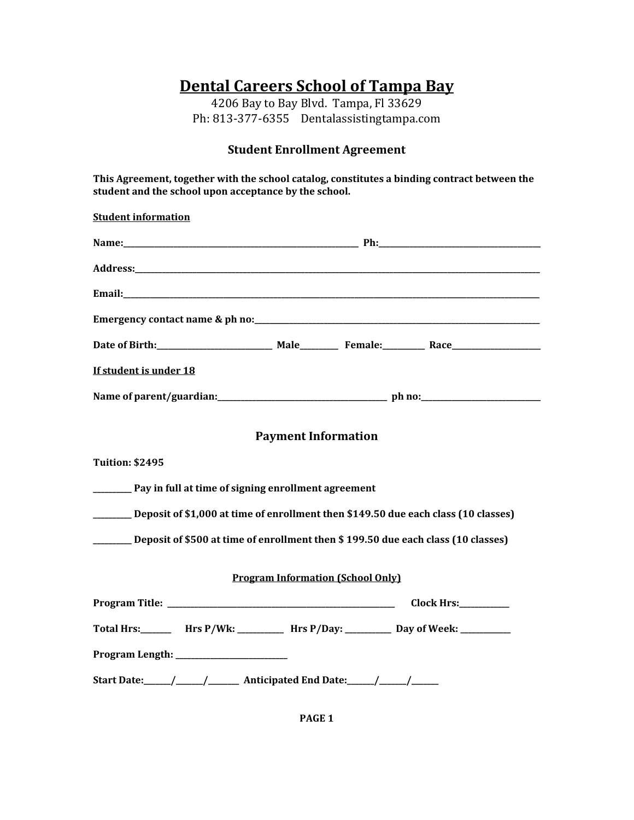# **Dental Careers School of Tampa Bay**

4206 Bay to Bay Blvd. Tampa, Fl 33629 Ph: 813-377-6355 Dentalassistingtampa.com

#### **Student Enrollment Agreement**

**This Agreement, together with the school catalog, constitutes a binding contract between the student and the school upon acceptance by the school.** 

**Student information Name:\_\_\_\_\_\_\_\_\_\_\_\_\_\_\_\_\_\_\_\_\_\_\_\_\_\_\_\_\_\_\_\_\_\_\_\_\_\_\_\_\_\_\_\_\_\_\_\_\_\_\_\_\_\_\_\_\_\_\_\_\_ Ph:\_\_\_\_\_\_\_\_\_\_\_\_\_\_\_\_\_\_\_\_\_\_\_\_\_\_\_\_\_\_\_\_\_\_\_\_\_\_\_\_\_\_ Address:\_\_\_\_\_\_\_\_\_\_\_\_\_\_\_\_\_\_\_\_\_\_\_\_\_\_\_\_\_\_\_\_\_\_\_\_\_\_\_\_\_\_\_\_\_\_\_\_\_\_\_\_\_\_\_\_\_\_\_\_\_\_\_\_\_\_\_\_\_\_\_\_\_\_\_\_\_\_\_\_\_\_\_\_\_\_\_\_\_\_\_\_\_\_\_\_\_\_\_\_\_\_\_\_\_ Email:** <u>Conserver</u> **Email:**  $\mathbb{E}$  **Email:**  $\mathbb{E}$  **Email:**  $\mathbb{E}$  **Email:**  $\mathbb{E}$  **Email:**  $\mathbb{E}$  **Email:**  $\mathbb{E}$  **Email:**  $\mathbb{E}$  **Email:**  $\mathbb{E}$  **Email:**  $\mathbb{E}$  **Email:**  $\mathbb{E}$  **Email:**  $\mathbb{E}$  **Em Emergency contact name & ph no:** *notally* **and** *n* **<b>***notally notally notally* **<b>***notally notally notally notally* **<b>***notally notally notally notally* **<b>***notally notally notally* **<b>***not* **Date of Birth:\_\_\_\_\_\_\_\_\_\_\_\_\_\_\_\_\_\_\_\_\_\_\_\_\_\_\_\_\_\_ Male\_\_\_\_\_\_\_\_\_\_ Female:\_\_\_\_\_\_\_\_\_\_\_ Race\_\_\_\_\_\_\_\_\_\_\_\_\_\_\_\_\_\_\_\_\_\_\_ If student is under 18 Name of parent/guardian:\_\_\_\_\_\_\_\_\_\_\_\_\_\_\_\_\_\_\_\_\_\_\_\_\_\_\_\_\_\_\_\_\_\_\_\_\_\_\_\_\_\_\_\_ ph no:\_\_\_\_\_\_\_\_\_\_\_\_\_\_\_\_\_\_\_\_\_\_\_\_\_\_\_\_\_\_\_ Payment Information Tuition: \$2495 \_\_\_\_\_\_\_\_\_\_ Pay in full at time of signing enrollment agreement \_\_\_\_\_\_\_\_\_\_ Deposit of \$1,000 at time of enrollment then \$149.50 due each class (10 classes) \_\_\_\_\_\_\_\_\_\_ Deposit of \$500 at time of enrollment then \$ 199.50 due each class (10 classes) Program Information (School Only) Program Title: \_\_\_\_\_\_\_\_\_\_\_\_\_\_\_\_\_\_\_\_\_\_\_\_\_\_\_\_\_\_\_\_\_\_\_\_\_\_\_\_\_\_\_\_\_\_\_\_\_\_\_\_\_\_\_\_\_\_\_ Clock Hrs:\_\_\_\_\_\_\_\_\_\_\_\_\_**  Total Hrs: **Hrs P/Wk:** Hrs P/Day: Day of Week: **Program Length: \_\_\_\_\_\_\_\_\_\_\_\_\_\_\_\_\_\_\_\_\_\_\_\_\_\_\_\_\_**  Start Date: \_\_\_\_\_\_\_/ \_\_\_\_\_\_\_/ Anticipated End Date: \_\_\_\_\_\_/ \_\_\_\_\_\_/

**PAGE 1**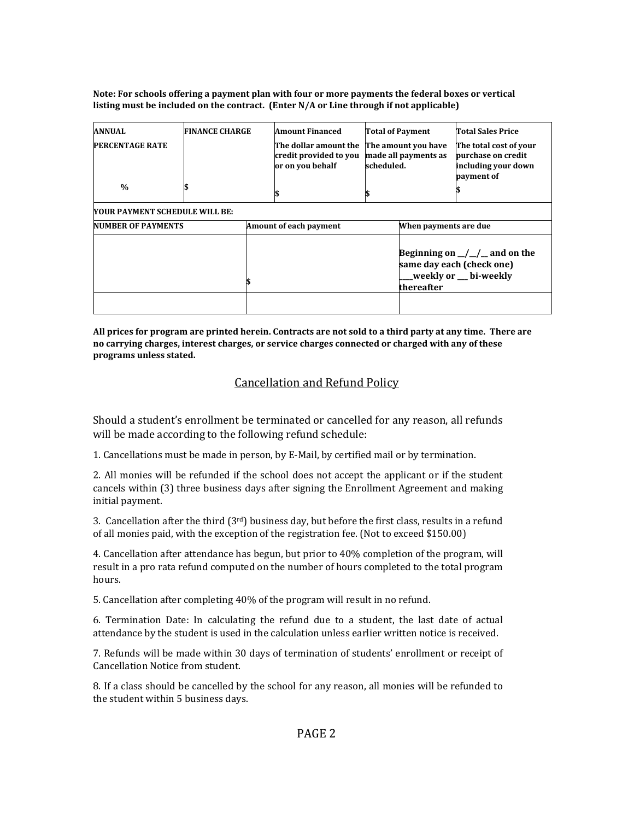**Note: For schools offering a payment plan with four or more payments the federal boxes or vertical listing must be included on the contract. (Enter N/A or Line through if not applicable)** 

| <b>ANNUAL</b><br><b>PERCENTAGE RATE</b> | <b>FINANCE CHARGE</b> |                        | <b>Amount Financed</b><br>The dollar amount the<br>credit provided to you<br>or on you behalf | scheduled. | <b>Total of Payment</b><br>The amount you have<br>made all payments as | <b>Total Sales Price</b><br>The total cost of your<br>purchase on credit<br>including your down<br>payment of |
|-----------------------------------------|-----------------------|------------------------|-----------------------------------------------------------------------------------------------|------------|------------------------------------------------------------------------|---------------------------------------------------------------------------------------------------------------|
| $\frac{0}{0}$                           |                       |                        |                                                                                               |            |                                                                        |                                                                                                               |
| YOUR PAYMENT SCHEDULE WILL BE:          |                       |                        |                                                                                               |            |                                                                        |                                                                                                               |
| <b>NUMBER OF PAYMENTS</b>               |                       | Amount of each payment |                                                                                               |            | When payments are due                                                  |                                                                                                               |
|                                         |                       |                        |                                                                                               |            | thereafter                                                             | Beginning on $\angle$ / $\angle$ and on the<br>same day each (check one)<br>weekly or __ bi-weekly_           |

**All prices for program are printed herein. Contracts are not sold to a third party at any time. There are no carrying charges, interest charges, or service charges connected or charged with any of these programs unless stated.** 

# Cancellation and Refund Policy

Should a student's enrollment be terminated or cancelled for any reason, all refunds will be made according to the following refund schedule:

1. Cancellations must be made in person, by E-Mail, by certified mail or by termination.

2. All monies will be refunded if the school does not accept the applicant or if the student cancels within (3) three business days after signing the Enrollment Agreement and making initial payment.

3. Cancellation after the third  $(3<sup>rd</sup>)$  business day, but before the first class, results in a refund of all monies paid, with the exception of the registration fee. (Not to exceed \$150.00)

4. Cancellation after attendance has begun, but prior to 40% completion of the program, will result in a pro rata refund computed on the number of hours completed to the total program hours.

5. Cancellation after completing 40% of the program will result in no refund.

6. Termination Date: In calculating the refund due to a student, the last date of actual attendance by the student is used in the calculation unless earlier written notice is received.

7. Refunds will be made within 30 days of termination of students' enrollment or receipt of Cancellation Notice from student.

8. If a class should be cancelled by the school for any reason, all monies will be refunded to the student within 5 business days.